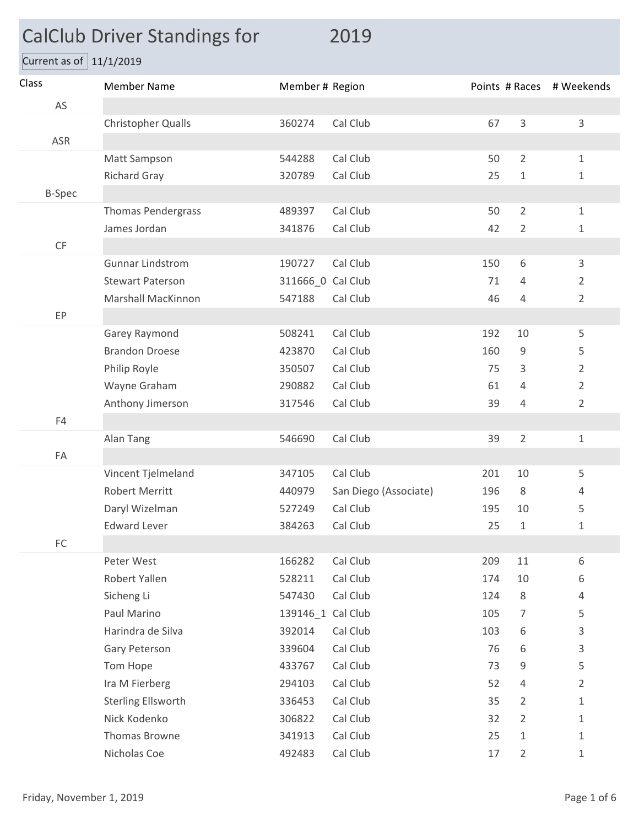## CalClub Driver Standings for 2019

Current as of  $11/1/2019$ 

| Class         | <b>Member Name</b>        | Member # Region   |                       |     |                | Points # Races # Weekends |
|---------------|---------------------------|-------------------|-----------------------|-----|----------------|---------------------------|
| AS            |                           |                   |                       |     |                |                           |
|               | Christopher Qualls        | 360274            | Cal Club              | 67  | $\overline{3}$ | 3                         |
| ASR           |                           |                   |                       |     |                |                           |
|               | Matt Sampson              | 544288            | Cal Club              | 50  | $\overline{2}$ | $\mathbf{1}$              |
|               | <b>Richard Gray</b>       | 320789            | Cal Club              | 25  | $1\,$          | $\mathbf{1}$              |
| <b>B-Spec</b> |                           |                   |                       |     |                |                           |
|               | <b>Thomas Pendergrass</b> | 489397            | Cal Club              | 50  | $\overline{2}$ | $\mathbf{1}$              |
|               | James Jordan              | 341876            | Cal Club              | 42  | $\overline{2}$ | 1                         |
| CF            |                           |                   |                       |     |                |                           |
|               | <b>Gunnar Lindstrom</b>   | 190727            | Cal Club              | 150 | 6              | 3                         |
|               | <b>Stewart Paterson</b>   | 311666_0 Cal Club |                       | 71  | 4              | $\overline{2}$            |
|               | <b>Marshall MacKinnon</b> | 547188            | Cal Club              | 46  | 4              | $\overline{2}$            |
| EP            |                           |                   |                       |     |                |                           |
|               | Garey Raymond             | 508241            | Cal Club              | 192 | 10             | 5                         |
|               | <b>Brandon Droese</b>     | 423870            | Cal Club              | 160 | 9              | 5                         |
|               | Philip Royle              | 350507            | Cal Club              | 75  | 3              | $\overline{2}$            |
|               | Wayne Graham              | 290882            | Cal Club              | 61  | 4              | $\overline{2}$            |
|               | Anthony Jimerson          | 317546            | Cal Club              | 39  | 4              | $\overline{2}$            |
| F4            |                           |                   |                       |     |                |                           |
|               | Alan Tang                 | 546690            | Cal Club              | 39  | $\overline{2}$ | 1                         |
| FA            |                           |                   |                       |     |                |                           |
|               | Vincent Tjelmeland        | 347105            | Cal Club              | 201 | 10             | 5                         |
|               | <b>Robert Merritt</b>     | 440979            | San Diego (Associate) | 196 | 8              | 4                         |
|               | Daryl Wizelman            | 527249            | Cal Club              | 195 | 10             | 5                         |
|               | <b>Edward Lever</b>       | 384263            | Cal Club              | 25  | $1\,$          | 1                         |
| ${\sf FC}$    |                           |                   |                       |     |                |                           |
|               | Peter West                | 166282            | Cal Club              | 209 | 11             | 6                         |
|               | Robert Yallen             | 528211            | Cal Club              | 174 | 10             | 6                         |
|               | Sicheng Li                | 547430            | Cal Club              | 124 | 8              | 4                         |
|               | Paul Marino               | 139146_1 Cal Club |                       | 105 | $\overline{7}$ | 5                         |
|               | Harindra de Silva         | 392014            | Cal Club              | 103 | 6              | $\mathsf{3}$              |
|               | Gary Peterson             | 339604            | Cal Club              | 76  | 6              | 3                         |
|               | Tom Hope                  | 433767            | Cal Club              | 73  | 9              | 5                         |
|               | Ira M Fierberg            | 294103            | Cal Club              | 52  | 4              | $\overline{2}$            |
|               | Sterling Ellsworth        | 336453            | Cal Club              | 35  | $\overline{2}$ | $\mathbf{1}$              |
|               | Nick Kodenko              | 306822            | Cal Club              | 32  | $\overline{2}$ | $\mathbf{1}$              |
|               | Thomas Browne             | 341913            | Cal Club              | 25  | $\mathbf{1}$   | $\mathbf{1}$              |
|               | Nicholas Coe              | 492483            | Cal Club              | 17  | $\overline{2}$ | $\mathbf{1}$              |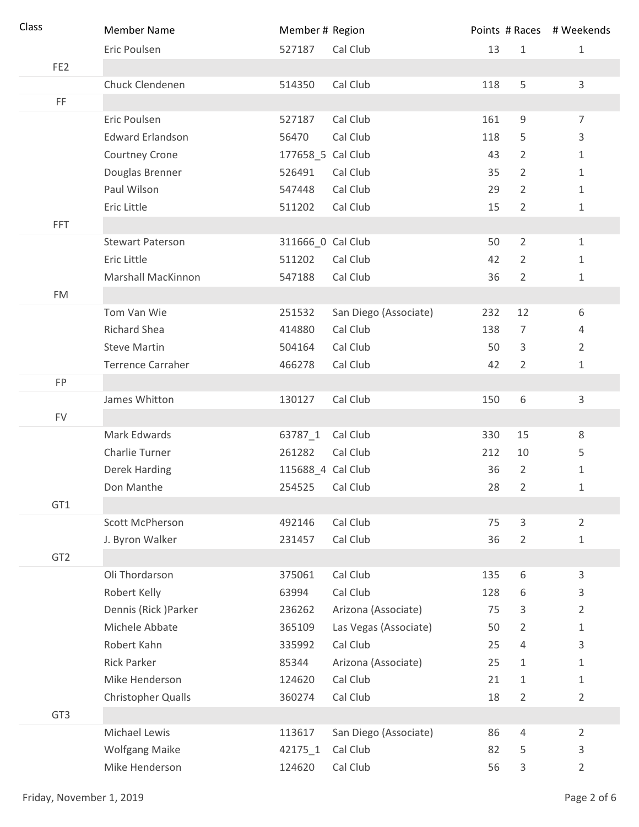| Class           | <b>Member Name</b>        | Member # Region   |                       |     |                | Points # Races # Weekends |
|-----------------|---------------------------|-------------------|-----------------------|-----|----------------|---------------------------|
|                 | Eric Poulsen              | 527187            | Cal Club              | 13  | $1\,$          | $\mathbf{1}$              |
| FE <sub>2</sub> |                           |                   |                       |     |                |                           |
|                 | Chuck Clendenen           | 514350            | Cal Club              | 118 | 5              | $\overline{3}$            |
| FF              |                           |                   |                       |     |                |                           |
|                 | Eric Poulsen              | 527187            | Cal Club              | 161 | 9              | $\overline{7}$            |
|                 | <b>Edward Erlandson</b>   | 56470             | Cal Club              | 118 | 5              | $\mathsf{3}$              |
|                 | Courtney Crone            | 177658_5 Cal Club |                       | 43  | $\overline{2}$ | $\mathbf{1}$              |
|                 | Douglas Brenner           | 526491            | Cal Club              | 35  | $\overline{2}$ | $1\,$                     |
|                 | Paul Wilson               | 547448            | Cal Club              | 29  | $\overline{2}$ | $1\,$                     |
|                 | Eric Little               | 511202            | Cal Club              | 15  | $\overline{2}$ | $\mathbf{1}$              |
| <b>FFT</b>      |                           |                   |                       |     |                |                           |
|                 | <b>Stewart Paterson</b>   | 311666_0 Cal Club |                       | 50  | $\overline{2}$ | $\mathbf{1}$              |
|                 | Eric Little               | 511202            | Cal Club              | 42  | $\overline{2}$ | $\mathbf{1}$              |
|                 | Marshall MacKinnon        | 547188            | Cal Club              | 36  | $\overline{2}$ | $\mathbf{1}$              |
| <b>FM</b>       |                           |                   |                       |     |                |                           |
|                 | Tom Van Wie               | 251532            | San Diego (Associate) | 232 | 12             | 6                         |
|                 | <b>Richard Shea</b>       | 414880            | Cal Club              | 138 | 7              | 4                         |
|                 | <b>Steve Martin</b>       | 504164            | Cal Club              | 50  | 3              | $\overline{2}$            |
|                 | <b>Terrence Carraher</b>  | 466278            | Cal Club              | 42  | $\overline{2}$ | $\mathbf{1}$              |
| <b>FP</b>       |                           |                   |                       |     |                |                           |
|                 | James Whitton             | 130127            | Cal Club              | 150 | 6              | 3                         |
| <b>FV</b>       |                           |                   |                       |     |                |                           |
|                 | Mark Edwards              | 63787_1           | Cal Club              | 330 | 15             | $\,8\,$                   |
|                 | Charlie Turner            | 261282            | Cal Club              | 212 | 10             | 5                         |
|                 | <b>Derek Harding</b>      | 115688_4 Cal Club |                       | 36  | $\overline{2}$ | $\mathbf{1}$              |
|                 | Don Manthe                | 254525            | Cal Club              | 28  | 2              | 1                         |
| GT1             |                           |                   |                       |     |                |                           |
|                 | Scott McPherson           | 492146            | Cal Club              | 75  | 3              | $\overline{2}$            |
|                 | J. Byron Walker           | 231457            | Cal Club              | 36  | $\overline{2}$ | $\mathbf{1}$              |
| GT <sub>2</sub> |                           |                   |                       |     |                |                           |
|                 | Oli Thordarson            | 375061            | Cal Club              | 135 | 6              | 3                         |
|                 | Robert Kelly              | 63994             | Cal Club              | 128 | 6              | $\mathsf{3}$              |
|                 | Dennis (Rick) Parker      | 236262            | Arizona (Associate)   | 75  | 3              | $\overline{2}$            |
|                 | Michele Abbate            | 365109            | Las Vegas (Associate) | 50  | $\overline{2}$ | $\mathbf{1}$              |
|                 | Robert Kahn               | 335992            | Cal Club              | 25  | $\overline{4}$ | 3                         |
|                 | <b>Rick Parker</b>        | 85344             | Arizona (Associate)   | 25  | $\mathbf{1}$   | $\mathbf{1}$              |
|                 | Mike Henderson            | 124620            | Cal Club              | 21  | $\mathbf{1}$   | $\mathbf{1}$              |
|                 | <b>Christopher Qualls</b> | 360274            | Cal Club              | 18  | $\overline{2}$ | $\overline{2}$            |
| GT <sub>3</sub> |                           |                   |                       |     |                |                           |
|                 | Michael Lewis             | 113617            | San Diego (Associate) | 86  | $\overline{4}$ | $\overline{2}$            |
|                 | <b>Wolfgang Maike</b>     | 42175_1           | Cal Club              | 82  | 5              | 3                         |
|                 | Mike Henderson            | 124620            | Cal Club              | 56  | 3              | $\overline{2}$            |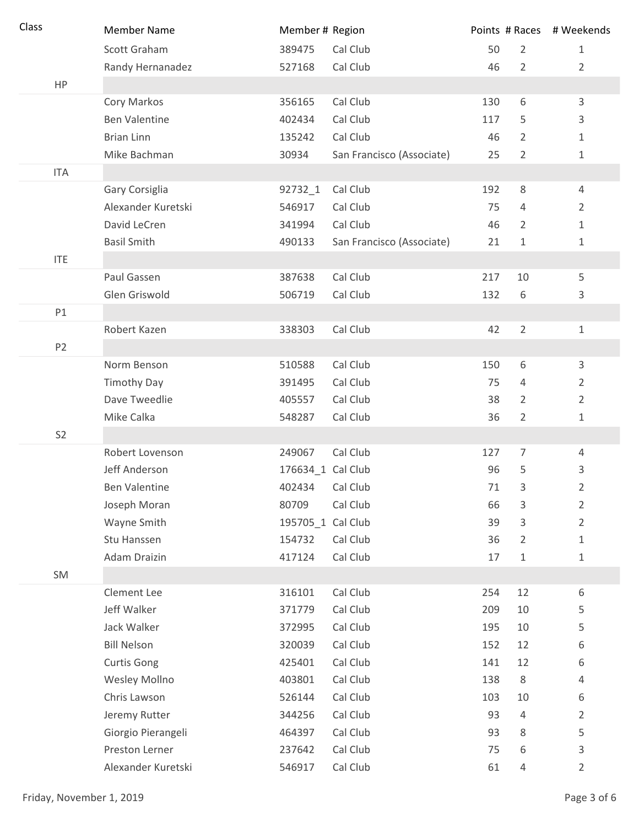| Class          | <b>Member Name</b>   | Member # Region   |                           |     |                | Points # Races # Weekends |
|----------------|----------------------|-------------------|---------------------------|-----|----------------|---------------------------|
|                | Scott Graham         | 389475            | Cal Club                  | 50  | $\overline{2}$ | $\mathbf{1}$              |
|                | Randy Hernanadez     | 527168            | Cal Club                  | 46  | $\overline{2}$ | $\overline{2}$            |
| HP             |                      |                   |                           |     |                |                           |
|                | Cory Markos          | 356165            | Cal Club                  | 130 | 6              | 3                         |
|                | <b>Ben Valentine</b> | 402434            | Cal Club                  | 117 | 5              | 3                         |
|                | <b>Brian Linn</b>    | 135242            | Cal Club                  | 46  | 2              | 1                         |
|                | Mike Bachman         | 30934             | San Francisco (Associate) | 25  | $\overline{2}$ | 1                         |
| <b>ITA</b>     |                      |                   |                           |     |                |                           |
|                | Gary Corsiglia       | 92732_1           | Cal Club                  | 192 | 8              | 4                         |
|                | Alexander Kuretski   | 546917            | Cal Club                  | 75  | 4              | $\overline{2}$            |
|                | David LeCren         | 341994            | Cal Club                  | 46  | $\overline{2}$ | 1                         |
|                | <b>Basil Smith</b>   | 490133            | San Francisco (Associate) | 21  | 1              | 1                         |
| <b>ITE</b>     |                      |                   |                           |     |                |                           |
|                | Paul Gassen          | 387638            | Cal Club                  | 217 | 10             | 5                         |
|                | Glen Griswold        | 506719            | Cal Club                  | 132 | 6              | 3                         |
| P1             |                      |                   |                           |     |                |                           |
|                | Robert Kazen         | 338303            | Cal Club                  | 42  | $\overline{2}$ | 1                         |
| P <sub>2</sub> |                      |                   |                           |     |                |                           |
|                | Norm Benson          | 510588            | Cal Club                  | 150 | 6              | 3                         |
|                | <b>Timothy Day</b>   | 391495            | Cal Club                  | 75  | 4              | $\overline{2}$            |
|                | Dave Tweedlie        | 405557            | Cal Club                  | 38  | $\overline{2}$ | $\overline{2}$            |
|                | Mike Calka           | 548287            | Cal Club                  | 36  | $\overline{2}$ | 1                         |
| S <sub>2</sub> |                      |                   |                           |     |                |                           |
|                | Robert Lovenson      | 249067            | Cal Club                  | 127 | $\overline{7}$ | 4                         |
|                | Jeff Anderson        | 176634_1 Cal Club |                           | 96  | 5              | 3                         |
|                | <b>Ben Valentine</b> | 402434            | Cal Club                  | 71  | 3              | 2                         |
|                | Joseph Moran         | 80709             | Cal Club                  | 66  | 3              | $\overline{2}$            |
|                | Wayne Smith          | 195705_1 Cal Club |                           | 39  | 3              | $\overline{2}$            |
|                | Stu Hanssen          | 154732            | Cal Club                  | 36  | 2              | 1                         |
|                | Adam Draizin         | 417124            | Cal Club                  | 17  | 1              | $\mathbf 1$               |
| SM             |                      |                   |                           |     |                |                           |
|                | Clement Lee          | 316101            | Cal Club                  | 254 | 12             | $\,6\,$                   |
|                | Jeff Walker          | 371779            | Cal Club                  | 209 | 10             | 5                         |
|                | Jack Walker          | 372995            | Cal Club                  | 195 | 10             | 5                         |
|                | <b>Bill Nelson</b>   | 320039            | Cal Club                  | 152 | 12             | 6                         |
|                | <b>Curtis Gong</b>   | 425401            | Cal Club                  | 141 | 12             | 6                         |
|                | Wesley Mollno        | 403801            | Cal Club                  | 138 | 8              | 4                         |
|                | Chris Lawson         | 526144            | Cal Club                  | 103 | 10             | 6                         |
|                | Jeremy Rutter        | 344256            | Cal Club                  | 93  | $\overline{4}$ | $\overline{2}$            |
|                | Giorgio Pierangeli   | 464397            | Cal Club                  | 93  | $\,8\,$        | 5                         |
|                | Preston Lerner       | 237642            | Cal Club                  | 75  | 6              | 3                         |
|                | Alexander Kuretski   | 546917            | Cal Club                  | 61  | 4              | $\overline{2}$            |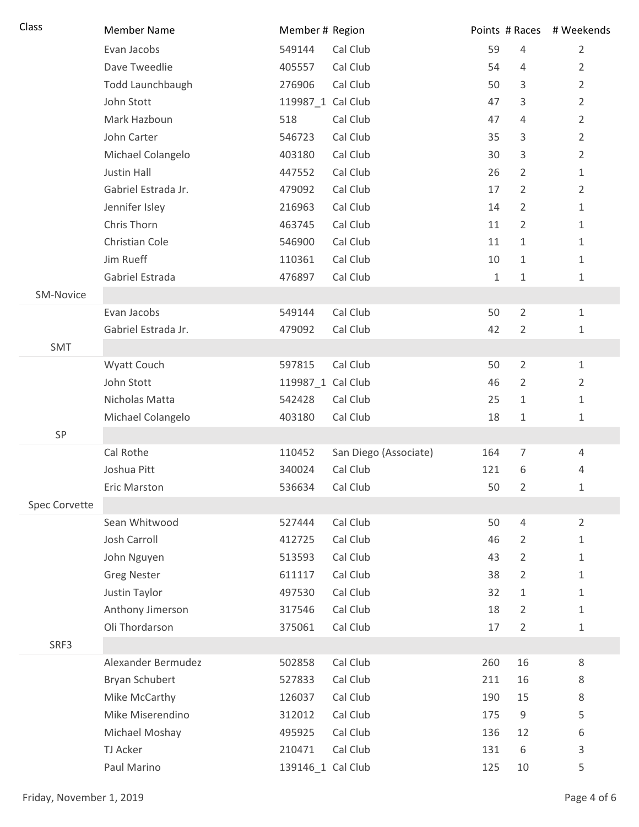| Class                | <b>Member Name</b>  | Member # Region   |                       |              |                | Points # Races # Weekends |
|----------------------|---------------------|-------------------|-----------------------|--------------|----------------|---------------------------|
|                      | Evan Jacobs         | 549144            | Cal Club              | 59           | 4              | $\overline{2}$            |
|                      | Dave Tweedlie       | 405557            | Cal Club              | 54           | $\overline{4}$ | $\overline{2}$            |
|                      | Todd Launchbaugh    | 276906            | Cal Club              | 50           | 3              | $\overline{2}$            |
|                      | John Stott          | 119987_1 Cal Club |                       | 47           | 3              | $\overline{2}$            |
|                      | Mark Hazboun        | 518               | Cal Club              | 47           | 4              | $\overline{2}$            |
|                      | John Carter         | 546723            | Cal Club              | 35           | 3              | $\overline{2}$            |
|                      | Michael Colangelo   | 403180            | Cal Club              | 30           | 3              | $\overline{2}$            |
|                      | Justin Hall         | 447552            | Cal Club              | 26           | $\overline{2}$ | $\mathbf 1$               |
|                      | Gabriel Estrada Jr. | 479092            | Cal Club              | 17           | $\overline{2}$ | $\overline{2}$            |
|                      | Jennifer Isley      | 216963            | Cal Club              | 14           | $\overline{2}$ | 1                         |
|                      | Chris Thorn         | 463745            | Cal Club              | 11           | $\overline{2}$ | $\mathbf{1}$              |
|                      | Christian Cole      | 546900            | Cal Club              | 11           | $\mathbf{1}$   | 1                         |
|                      | Jim Rueff           | 110361            | Cal Club              | 10           | $\mathbf{1}$   | $\mathbf 1$               |
|                      | Gabriel Estrada     | 476897            | Cal Club              | $\mathbf{1}$ | $\mathbf{1}$   | 1                         |
| SM-Novice            |                     |                   |                       |              |                |                           |
|                      | Evan Jacobs         | 549144            | Cal Club              | 50           | $\overline{2}$ | $1\,$                     |
|                      | Gabriel Estrada Jr. | 479092            | Cal Club              | 42           | $\overline{2}$ | 1                         |
| SMT                  |                     |                   |                       |              |                |                           |
|                      | Wyatt Couch         | 597815            | Cal Club              | 50           | $\overline{2}$ | $\mathbf{1}$              |
|                      | John Stott          | 119987_1 Cal Club |                       | 46           | $\overline{2}$ | $\overline{2}$            |
|                      | Nicholas Matta      | 542428            | Cal Club              | 25           | $\mathbf{1}$   | $1\,$                     |
|                      | Michael Colangelo   | 403180            | Cal Club              | 18           | $1\,$          | 1                         |
| SP                   |                     |                   |                       |              |                |                           |
|                      | Cal Rothe           | 110452            | San Diego (Associate) | 164          | $\overline{7}$ | $\overline{4}$            |
|                      | Joshua Pitt         | 340024            | Cal Club              | 121          | 6              | 4                         |
|                      | <b>Eric Marston</b> | 536634            | Cal Club              | 50           | 2              | 1                         |
| <b>Spec Corvette</b> |                     |                   |                       |              |                |                           |
|                      | Sean Whitwood       | 527444            | Cal Club              | 50           | $\overline{4}$ | $\overline{2}$            |
|                      | <b>Josh Carroll</b> | 412725            | Cal Club              | 46           | $\overline{2}$ | 1                         |
|                      | John Nguyen         | 513593            | Cal Club              | 43           | $\overline{2}$ | 1                         |
|                      | <b>Greg Nester</b>  | 611117            | Cal Club              | 38           | $\overline{2}$ | 1                         |
|                      | Justin Taylor       | 497530            | Cal Club              | 32           | $\mathbf{1}$   | $\mathbf 1$               |
|                      | Anthony Jimerson    | 317546            | Cal Club              | 18           | $\overline{2}$ | 1                         |
|                      | Oli Thordarson      | 375061            | Cal Club              | 17           | $\overline{2}$ | 1                         |
| SRF3                 |                     |                   |                       |              |                |                           |
|                      | Alexander Bermudez  | 502858            | Cal Club              | 260          | 16             | 8                         |
|                      | Bryan Schubert      | 527833            | Cal Club              | 211          | 16             | 8                         |
|                      | Mike McCarthy       | 126037            | Cal Club              | 190          | 15             | 8                         |
|                      | Mike Miserendino    | 312012            | Cal Club              | 175          | 9              | 5                         |
|                      | Michael Moshay      | 495925            | Cal Club              | 136          | 12             | 6                         |
|                      | TJ Acker            | 210471            | Cal Club              | 131          | 6              | 3                         |
|                      | Paul Marino         | 139146_1 Cal Club |                       | 125          | 10             | 5                         |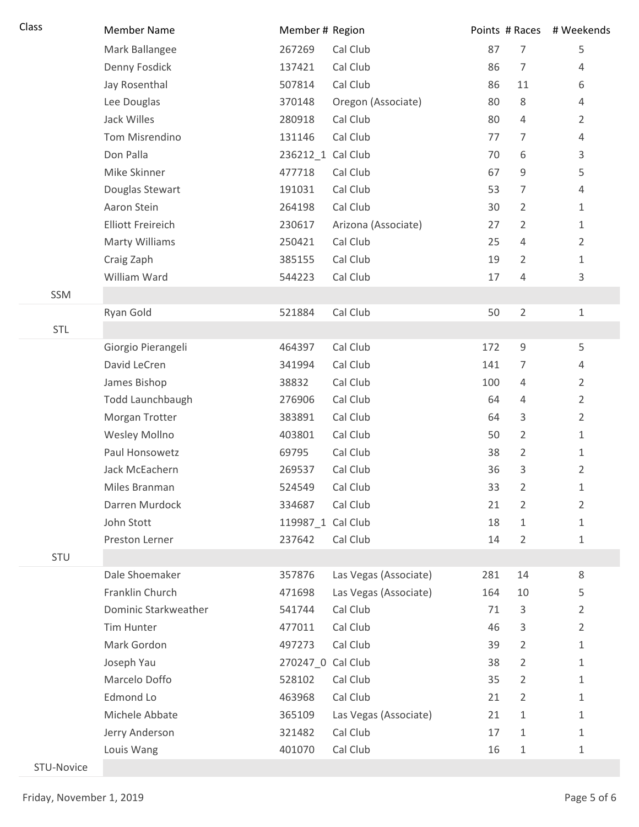| Class      | <b>Member Name</b>       | Member # Region   |                       |     |                | Points # Races # Weekends |
|------------|--------------------------|-------------------|-----------------------|-----|----------------|---------------------------|
|            | Mark Ballangee           | 267269            | Cal Club              | 87  | $\overline{7}$ | 5                         |
|            | Denny Fosdick            | 137421            | Cal Club              | 86  | $\overline{7}$ | 4                         |
|            | Jay Rosenthal            | 507814            | Cal Club              | 86  | 11             | 6                         |
|            | Lee Douglas              | 370148            | Oregon (Associate)    | 80  | 8              | 4                         |
|            | Jack Willes              | 280918            | Cal Club              | 80  | 4              | $\overline{2}$            |
|            | Tom Misrendino           | 131146            | Cal Club              | 77  | $\overline{7}$ | 4                         |
|            | Don Palla                | 236212_1 Cal Club |                       | 70  | 6              | 3                         |
|            | Mike Skinner             | 477718            | Cal Club              | 67  | 9              | 5                         |
|            | Douglas Stewart          | 191031            | Cal Club              | 53  | 7              | 4                         |
|            | Aaron Stein              | 264198            | Cal Club              | 30  | $\overline{2}$ | $\mathbf{1}$              |
|            | <b>Elliott Freireich</b> | 230617            | Arizona (Associate)   | 27  | $\overline{2}$ | 1                         |
|            | <b>Marty Williams</b>    | 250421            | Cal Club              | 25  | $\overline{4}$ | $\overline{2}$            |
|            | Craig Zaph               | 385155            | Cal Club              | 19  | $\overline{2}$ | $\mathbf{1}$              |
|            | William Ward             | 544223            | Cal Club              | 17  | $\overline{4}$ | 3                         |
| SSM        |                          |                   |                       |     |                |                           |
|            | Ryan Gold                | 521884            | Cal Club              | 50  | $\overline{2}$ | 1                         |
| <b>STL</b> |                          |                   |                       |     |                |                           |
|            | Giorgio Pierangeli       | 464397            | Cal Club              | 172 | $\mathsf 9$    | 5                         |
|            | David LeCren             | 341994            | Cal Club              | 141 | $\overline{7}$ | 4                         |
|            | James Bishop             | 38832             | Cal Club              | 100 | 4              | $\overline{2}$            |
|            | Todd Launchbaugh         | 276906            | Cal Club              | 64  | 4              | $\overline{2}$            |
|            | Morgan Trotter           | 383891            | Cal Club              | 64  | 3              | $\overline{2}$            |
|            | Wesley Mollno            | 403801            | Cal Club              | 50  | $\overline{2}$ | $\mathbf{1}$              |
|            | Paul Honsowetz           | 69795             | Cal Club              | 38  | $\overline{2}$ | $\mathbf{1}$              |
|            | Jack McEachern           | 269537            | Cal Club              | 36  | 3              | $\overline{2}$            |
|            | Miles Branman            | 524549            | Cal Club              | 33  | 2              | 1                         |
|            | Darren Murdock           | 334687            | Cal Club              | 21  | $\overline{2}$ | $\overline{2}$            |
|            | John Stott               | 119987 1 Cal Club |                       | 18  | $\mathbf{1}$   | 1                         |
|            | Preston Lerner           | 237642            | Cal Club              | 14  | $\overline{2}$ | 1                         |
| STU        |                          |                   |                       |     |                |                           |
|            | Dale Shoemaker           | 357876            | Las Vegas (Associate) | 281 | 14             | $\,8\,$                   |
|            | Franklin Church          | 471698            | Las Vegas (Associate) | 164 | 10             | 5                         |
|            | Dominic Starkweather     | 541744            | Cal Club              | 71  | 3              | $\overline{2}$            |
|            | Tim Hunter               | 477011            | Cal Club              | 46  | 3              | $\overline{2}$            |
|            | Mark Gordon              | 497273            | Cal Club              | 39  | $\overline{2}$ | 1                         |
|            | Joseph Yau               | 270247_0 Cal Club |                       | 38  | $\overline{2}$ | 1                         |
|            | Marcelo Doffo            | 528102            | Cal Club              | 35  | $\overline{2}$ | 1                         |
|            | Edmond Lo                | 463968            | Cal Club              | 21  | $\overline{2}$ | 1                         |
|            | Michele Abbate           | 365109            | Las Vegas (Associate) | 21  | $\mathbf{1}$   | $\mathbf{1}$              |
|            | Jerry Anderson           | 321482            | Cal Club              | 17  | $\mathbf{1}$   | 1                         |
|            | Louis Wang               | 401070            | Cal Club              | 16  | $\mathbf{1}$   | 1                         |
|            |                          |                   |                       |     |                |                           |

STU-Novice